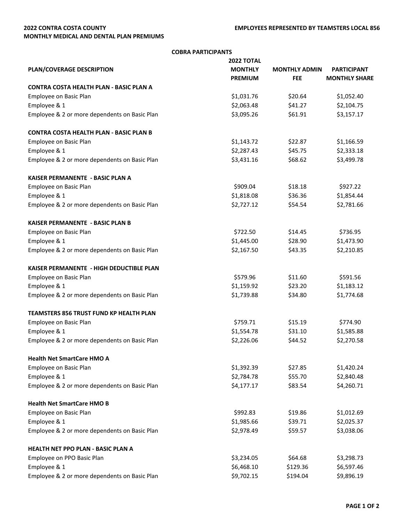## **2022 CONTRA COSTA COUNTY MONTHLY MEDICAL AND DENTAL PLAN PREMIUMS**

| <b>COBRA PARTICIPANTS</b>                       |                   |                      |                      |  |  |
|-------------------------------------------------|-------------------|----------------------|----------------------|--|--|
|                                                 | <b>2022 TOTAL</b> |                      |                      |  |  |
| PLAN/COVERAGE DESCRIPTION                       | <b>MONTHLY</b>    | <b>MONTHLY ADMIN</b> | <b>PARTICIPANT</b>   |  |  |
|                                                 | <b>PREMIUM</b>    | <b>FEE</b>           | <b>MONTHLY SHARE</b> |  |  |
| <b>CONTRA COSTA HEALTH PLAN - BASIC PLAN A</b>  |                   |                      |                      |  |  |
| Employee on Basic Plan                          | \$1,031.76        | \$20.64              | \$1,052.40           |  |  |
| Employee & 1                                    | \$2,063.48        | \$41.27              | \$2,104.75           |  |  |
| Employee & 2 or more dependents on Basic Plan   | \$3,095.26        | \$61.91              | \$3,157.17           |  |  |
| <b>CONTRA COSTA HEALTH PLAN - BASIC PLAN B</b>  |                   |                      |                      |  |  |
| Employee on Basic Plan                          | \$1,143.72        | \$22.87              | \$1,166.59           |  |  |
| Employee & 1                                    | \$2,287.43        | \$45.75              | \$2,333.18           |  |  |
| Employee & 2 or more dependents on Basic Plan   | \$3,431.16        | \$68.62              | \$3,499.78           |  |  |
| <b>KAISER PERMANENTE - BASIC PLAN A</b>         |                   |                      |                      |  |  |
| Employee on Basic Plan                          | \$909.04          | \$18.18              | \$927.22             |  |  |
| Employee & 1                                    | \$1,818.08        | \$36.36              | \$1,854.44           |  |  |
| Employee & 2 or more dependents on Basic Plan   | \$2,727.12        | \$54.54              | \$2,781.66           |  |  |
| <b>KAISER PERMANENTE - BASIC PLAN B</b>         |                   |                      |                      |  |  |
| Employee on Basic Plan                          | \$722.50          | \$14.45              | \$736.95             |  |  |
| Employee & 1                                    | \$1,445.00        | \$28.90              | \$1,473.90           |  |  |
| Employee & 2 or more dependents on Basic Plan   | \$2,167.50        | \$43.35              | \$2,210.85           |  |  |
| <b>KAISER PERMANENTE - HIGH DEDUCTIBLE PLAN</b> |                   |                      |                      |  |  |
| Employee on Basic Plan                          | \$579.96          | \$11.60              | \$591.56             |  |  |
| Employee & 1                                    | \$1,159.92        | \$23.20              | \$1,183.12           |  |  |
| Employee & 2 or more dependents on Basic Plan   | \$1,739.88        | \$34.80              | \$1,774.68           |  |  |
| <b>TEAMSTERS 856 TRUST FUND KP HEALTH PLAN</b>  |                   |                      |                      |  |  |
| Employee on Basic Plan                          | \$759.71          | \$15.19              | \$774.90             |  |  |
| Employee & 1                                    | \$1,554.78        | \$31.10              | \$1,585.88           |  |  |
| Employee & 2 or more dependents on Basic Plan   | \$2,226.06        | \$44.52              | \$2,270.58           |  |  |
| <b>Health Net SmartCare HMO A</b>               |                   |                      |                      |  |  |
| Employee on Basic Plan                          | \$1,392.39        | \$27.85              | \$1,420.24           |  |  |
| Employee & 1                                    | \$2,784.78        | \$55.70              | \$2,840.48           |  |  |
| Employee & 2 or more dependents on Basic Plan   | \$4,177.17        | \$83.54              | \$4,260.71           |  |  |
| <b>Health Net SmartCare HMO B</b>               |                   |                      |                      |  |  |
| Employee on Basic Plan                          | \$992.83          | \$19.86              | \$1,012.69           |  |  |
| Employee & 1                                    | \$1,985.66        | \$39.71              | \$2,025.37           |  |  |
| Employee & 2 or more dependents on Basic Plan   | \$2,978.49        | \$59.57              | \$3,038.06           |  |  |
| HEALTH NET PPO PLAN - BASIC PLAN A              |                   |                      |                      |  |  |
| Employee on PPO Basic Plan                      | \$3,234.05        | \$64.68              | \$3,298.73           |  |  |
| Employee & 1                                    | \$6,468.10        | \$129.36             | \$6,597.46           |  |  |
| Employee & 2 or more dependents on Basic Plan   | \$9,702.15        | \$194.04             | \$9,896.19           |  |  |